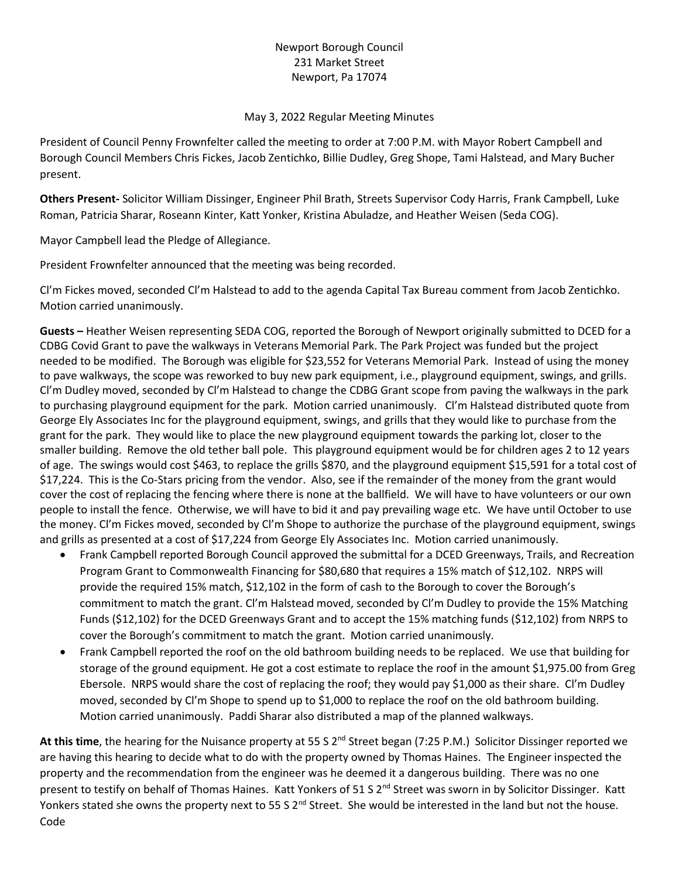## Newport Borough Council 231 Market Street Newport, Pa 17074

## May 3, 2022 Regular Meeting Minutes

President of Council Penny Frownfelter called the meeting to order at 7:00 P.M. with Mayor Robert Campbell and Borough Council Members Chris Fickes, Jacob Zentichko, Billie Dudley, Greg Shope, Tami Halstead, and Mary Bucher present.

**Others Present-** Solicitor William Dissinger, Engineer Phil Brath, Streets Supervisor Cody Harris, Frank Campbell, Luke Roman, Patricia Sharar, Roseann Kinter, Katt Yonker, Kristina Abuladze, and Heather Weisen (Seda COG).

Mayor Campbell lead the Pledge of Allegiance.

President Frownfelter announced that the meeting was being recorded.

Cl'm Fickes moved, seconded Cl'm Halstead to add to the agenda Capital Tax Bureau comment from Jacob Zentichko. Motion carried unanimously.

**Guests –** Heather Weisen representing SEDA COG, reported the Borough of Newport originally submitted to DCED for a CDBG Covid Grant to pave the walkways in Veterans Memorial Park. The Park Project was funded but the project needed to be modified. The Borough was eligible for \$23,552 for Veterans Memorial Park. Instead of using the money to pave walkways, the scope was reworked to buy new park equipment, i.e., playground equipment, swings, and grills. Cl'm Dudley moved, seconded by Cl'm Halstead to change the CDBG Grant scope from paving the walkways in the park to purchasing playground equipment for the park. Motion carried unanimously. Cl'm Halstead distributed quote from George Ely Associates Inc for the playground equipment, swings, and grills that they would like to purchase from the grant for the park. They would like to place the new playground equipment towards the parking lot, closer to the smaller building. Remove the old tether ball pole. This playground equipment would be for children ages 2 to 12 years of age. The swings would cost \$463, to replace the grills \$870, and the playground equipment \$15,591 for a total cost of \$17,224. This is the Co-Stars pricing from the vendor. Also, see if the remainder of the money from the grant would cover the cost of replacing the fencing where there is none at the ballfield. We will have to have volunteers or our own people to install the fence. Otherwise, we will have to bid it and pay prevailing wage etc. We have until October to use the money. Cl'm Fickes moved, seconded by Cl'm Shope to authorize the purchase of the playground equipment, swings and grills as presented at a cost of \$17,224 from George Ely Associates Inc. Motion carried unanimously.

- Frank Campbell reported Borough Council approved the submittal for a DCED Greenways, Trails, and Recreation Program Grant to Commonwealth Financing for \$80,680 that requires a 15% match of \$12,102. NRPS will provide the required 15% match, \$12,102 in the form of cash to the Borough to cover the Borough's commitment to match the grant. Cl'm Halstead moved, seconded by Cl'm Dudley to provide the 15% Matching Funds (\$12,102) for the DCED Greenways Grant and to accept the 15% matching funds (\$12,102) from NRPS to cover the Borough's commitment to match the grant. Motion carried unanimously.
- Frank Campbell reported the roof on the old bathroom building needs to be replaced. We use that building for storage of the ground equipment. He got a cost estimate to replace the roof in the amount \$1,975.00 from Greg Ebersole. NRPS would share the cost of replacing the roof; they would pay \$1,000 as their share. Cl'm Dudley moved, seconded by Cl'm Shope to spend up to \$1,000 to replace the roof on the old bathroom building. Motion carried unanimously. Paddi Sharar also distributed a map of the planned walkways.

At this time, the hearing for the Nuisance property at 55 S 2<sup>nd</sup> Street began (7:25 P.M.) Solicitor Dissinger reported we are having this hearing to decide what to do with the property owned by Thomas Haines. The Engineer inspected the property and the recommendation from the engineer was he deemed it a dangerous building. There was no one present to testify on behalf of Thomas Haines. Katt Yonkers of 51 S 2<sup>nd</sup> Street was sworn in by Solicitor Dissinger. Katt Yonkers stated she owns the property next to 55 S 2<sup>nd</sup> Street. She would be interested in the land but not the house. Code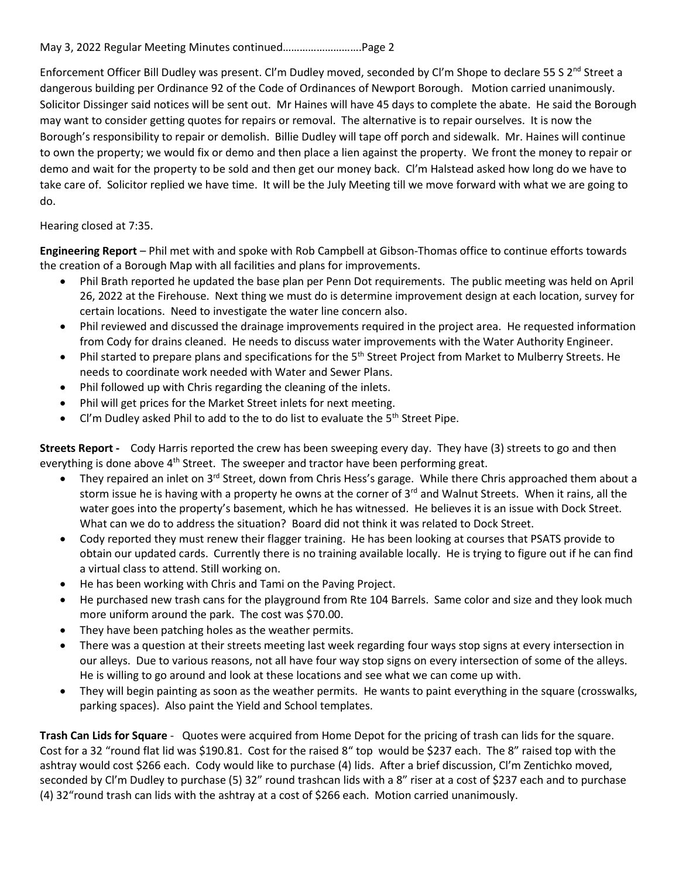Enforcement Officer Bill Dudley was present. Cl'm Dudley moved, seconded by Cl'm Shope to declare 55 S 2<sup>nd</sup> Street a dangerous building per Ordinance 92 of the Code of Ordinances of Newport Borough. Motion carried unanimously. Solicitor Dissinger said notices will be sent out. Mr Haines will have 45 days to complete the abate. He said the Borough may want to consider getting quotes for repairs or removal. The alternative is to repair ourselves. It is now the Borough's responsibility to repair or demolish. Billie Dudley will tape off porch and sidewalk. Mr. Haines will continue to own the property; we would fix or demo and then place a lien against the property. We front the money to repair or demo and wait for the property to be sold and then get our money back. Cl'm Halstead asked how long do we have to take care of. Solicitor replied we have time. It will be the July Meeting till we move forward with what we are going to do.

## Hearing closed at 7:35.

**Engineering Report** – Phil met with and spoke with Rob Campbell at Gibson-Thomas office to continue efforts towards the creation of a Borough Map with all facilities and plans for improvements.

- Phil Brath reported he updated the base plan per Penn Dot requirements. The public meeting was held on April 26, 2022 at the Firehouse. Next thing we must do is determine improvement design at each location, survey for certain locations. Need to investigate the water line concern also.
- Phil reviewed and discussed the drainage improvements required in the project area. He requested information from Cody for drains cleaned. He needs to discuss water improvements with the Water Authority Engineer.
- Phil started to prepare plans and specifications for the 5<sup>th</sup> Street Project from Market to Mulberry Streets. He needs to coordinate work needed with Water and Sewer Plans.
- Phil followed up with Chris regarding the cleaning of the inlets.
- Phil will get prices for the Market Street inlets for next meeting.
- $Cl'm$  Dudley asked Phil to add to the to do list to evaluate the  $5<sup>th</sup>$  Street Pipe.

**Streets Report -** Cody Harris reported the crew has been sweeping every day. They have (3) streets to go and then everything is done above  $4<sup>th</sup>$  Street. The sweeper and tractor have been performing great.

- They repaired an inlet on 3<sup>rd</sup> Street, down from Chris Hess's garage. While there Chris approached them about a storm issue he is having with a property he owns at the corner of 3<sup>rd</sup> and Walnut Streets. When it rains, all the water goes into the property's basement, which he has witnessed. He believes it is an issue with Dock Street. What can we do to address the situation? Board did not think it was related to Dock Street.
- Cody reported they must renew their flagger training. He has been looking at courses that PSATS provide to obtain our updated cards. Currently there is no training available locally. He is trying to figure out if he can find a virtual class to attend. Still working on.
- He has been working with Chris and Tami on the Paving Project.
- He purchased new trash cans for the playground from Rte 104 Barrels. Same color and size and they look much more uniform around the park. The cost was \$70.00.
- They have been patching holes as the weather permits.
- There was a question at their streets meeting last week regarding four ways stop signs at every intersection in our alleys. Due to various reasons, not all have four way stop signs on every intersection of some of the alleys. He is willing to go around and look at these locations and see what we can come up with.
- They will begin painting as soon as the weather permits. He wants to paint everything in the square (crosswalks, parking spaces). Also paint the Yield and School templates.

**Trash Can Lids for Square** - Quotes were acquired from Home Depot for the pricing of trash can lids for the square. Cost for a 32 "round flat lid was \$190.81. Cost for the raised 8" top would be \$237 each. The 8" raised top with the ashtray would cost \$266 each. Cody would like to purchase (4) lids. After a brief discussion, Cl'm Zentichko moved, seconded by Cl'm Dudley to purchase (5) 32" round trashcan lids with a 8" riser at a cost of \$237 each and to purchase (4) 32"round trash can lids with the ashtray at a cost of \$266 each. Motion carried unanimously.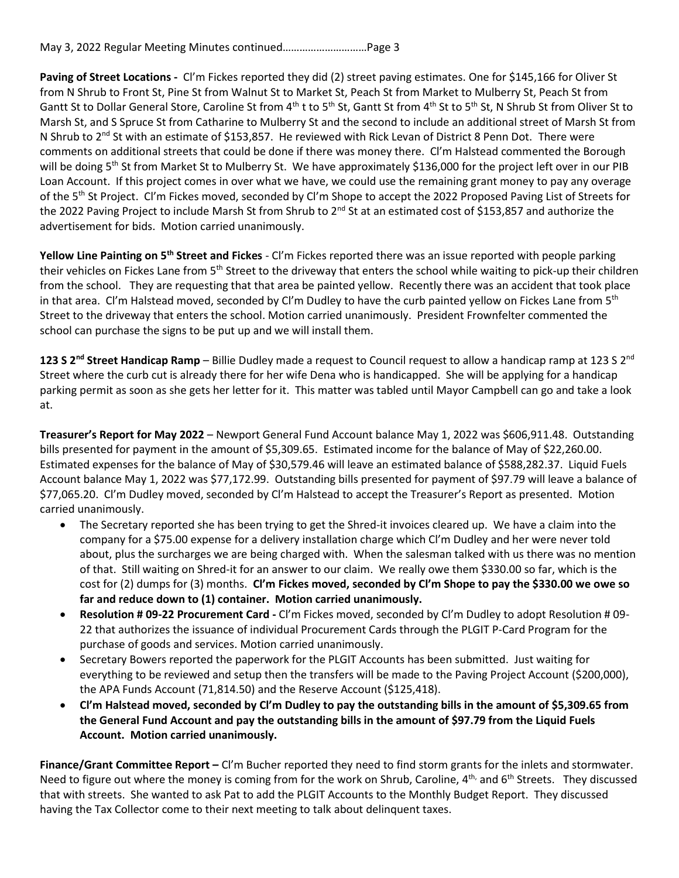May 3, 2022 Regular Meeting Minutes continued…………………………Page 3

**Paving of Street Locations -** Cl'm Fickes reported they did (2) street paving estimates. One for \$145,166 for Oliver St from N Shrub to Front St, Pine St from Walnut St to Market St, Peach St from Market to Mulberry St, Peach St from Gantt St to Dollar General Store, Caroline St from 4<sup>th</sup> t to 5<sup>th</sup> St, Gantt St from 4<sup>th</sup> St to 5<sup>th</sup> St, N Shrub St from Oliver St to Marsh St, and S Spruce St from Catharine to Mulberry St and the second to include an additional street of Marsh St from N Shrub to 2<sup>nd</sup> St with an estimate of \$153,857. He reviewed with Rick Levan of District 8 Penn Dot. There were comments on additional streets that could be done if there was money there. Cl'm Halstead commented the Borough will be doing 5<sup>th</sup> St from Market St to Mulberry St. We have approximately \$136,000 for the project left over in our PIB Loan Account. If this project comes in over what we have, we could use the remaining grant money to pay any overage of the 5<sup>th</sup> St Project. Cl'm Fickes moved, seconded by Cl'm Shope to accept the 2022 Proposed Paving List of Streets for the 2022 Paving Project to include Marsh St from Shrub to 2<sup>nd</sup> St at an estimated cost of \$153,857 and authorize the advertisement for bids. Motion carried unanimously.

**Yellow Line Painting on 5th Street and Fickes** - Cl'm Fickes reported there was an issue reported with people parking their vehicles on Fickes Lane from 5<sup>th</sup> Street to the driveway that enters the school while waiting to pick-up their children from the school. They are requesting that that area be painted yellow. Recently there was an accident that took place in that area. Cl'm Halstead moved, seconded by Cl'm Dudley to have the curb painted yellow on Fickes Lane from  $5<sup>th</sup>$ Street to the driveway that enters the school. Motion carried unanimously. President Frownfelter commented the school can purchase the signs to be put up and we will install them.

123 S 2<sup>nd</sup> Street Handicap Ramp – Billie Dudley made a request to Council request to allow a handicap ramp at 123 S 2<sup>nd</sup> Street where the curb cut is already there for her wife Dena who is handicapped. She will be applying for a handicap parking permit as soon as she gets her letter for it. This matter was tabled until Mayor Campbell can go and take a look at.

**Treasurer's Report for May 2022** – Newport General Fund Account balance May 1, 2022 was \$606,911.48. Outstanding bills presented for payment in the amount of \$5,309.65. Estimated income for the balance of May of \$22,260.00. Estimated expenses for the balance of May of \$30,579.46 will leave an estimated balance of \$588,282.37. Liquid Fuels Account balance May 1, 2022 was \$77,172.99. Outstanding bills presented for payment of \$97.79 will leave a balance of \$77,065.20. Cl'm Dudley moved, seconded by Cl'm Halstead to accept the Treasurer's Report as presented. Motion carried unanimously.

- The Secretary reported she has been trying to get the Shred-it invoices cleared up. We have a claim into the company for a \$75.00 expense for a delivery installation charge which Cl'm Dudley and her were never told about, plus the surcharges we are being charged with. When the salesman talked with us there was no mention of that. Still waiting on Shred-it for an answer to our claim. We really owe them \$330.00 so far, which is the cost for (2) dumps for (3) months. **Cl'm Fickes moved, seconded by Cl'm Shope to pay the \$330.00 we owe so far and reduce down to (1) container. Motion carried unanimously.**
- **Resolution # 09-22 Procurement Card -** Cl'm Fickes moved, seconded by Cl'm Dudley to adopt Resolution # 09- 22 that authorizes the issuance of individual Procurement Cards through the PLGIT P-Card Program for the purchase of goods and services. Motion carried unanimously.
- Secretary Bowers reported the paperwork for the PLGIT Accounts has been submitted. Just waiting for everything to be reviewed and setup then the transfers will be made to the Paving Project Account (\$200,000), the APA Funds Account (71,814.50) and the Reserve Account (\$125,418).
- **Cl'm Halstead moved, seconded by Cl'm Dudley to pay the outstanding bills in the amount of \$5,309.65 from the General Fund Account and pay the outstanding bills in the amount of \$97.79 from the Liquid Fuels Account. Motion carried unanimously.**

**Finance/Grant Committee Report –** Cl'm Bucher reported they need to find storm grants for the inlets and stormwater. Need to figure out where the money is coming from for the work on Shrub, Caroline, 4<sup>th,</sup> and 6<sup>th</sup> Streets. They discussed that with streets. She wanted to ask Pat to add the PLGIT Accounts to the Monthly Budget Report. They discussed having the Tax Collector come to their next meeting to talk about delinquent taxes.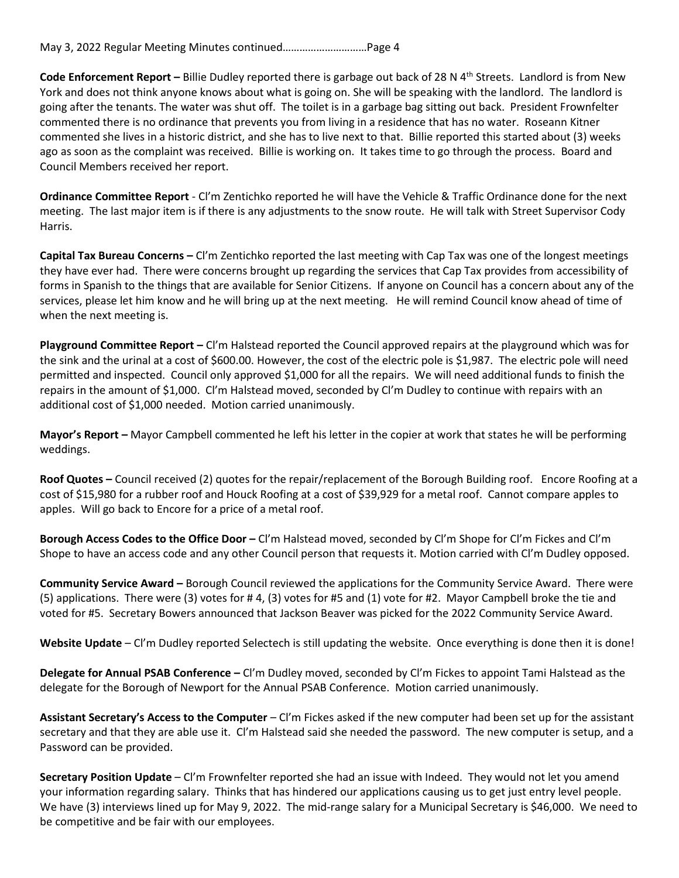**Code Enforcement Report –** Billie Dudley reported there is garbage out back of 28 N 4<sup>th</sup> Streets. Landlord is from New York and does not think anyone knows about what is going on. She will be speaking with the landlord. The landlord is going after the tenants. The water was shut off. The toilet is in a garbage bag sitting out back. President Frownfelter commented there is no ordinance that prevents you from living in a residence that has no water. Roseann Kitner commented she lives in a historic district, and she has to live next to that. Billie reported this started about (3) weeks ago as soon as the complaint was received. Billie is working on. It takes time to go through the process. Board and Council Members received her report.

**Ordinance Committee Report** - Cl'm Zentichko reported he will have the Vehicle & Traffic Ordinance done for the next meeting. The last major item is if there is any adjustments to the snow route. He will talk with Street Supervisor Cody Harris.

**Capital Tax Bureau Concerns –** Cl'm Zentichko reported the last meeting with Cap Tax was one of the longest meetings they have ever had. There were concerns brought up regarding the services that Cap Tax provides from accessibility of forms in Spanish to the things that are available for Senior Citizens. If anyone on Council has a concern about any of the services, please let him know and he will bring up at the next meeting. He will remind Council know ahead of time of when the next meeting is.

**Playground Committee Report –** Cl'm Halstead reported the Council approved repairs at the playground which was for the sink and the urinal at a cost of \$600.00. However, the cost of the electric pole is \$1,987. The electric pole will need permitted and inspected. Council only approved \$1,000 for all the repairs. We will need additional funds to finish the repairs in the amount of \$1,000. Cl'm Halstead moved, seconded by Cl'm Dudley to continue with repairs with an additional cost of \$1,000 needed. Motion carried unanimously.

**Mayor's Report –** Mayor Campbell commented he left his letter in the copier at work that states he will be performing weddings.

**Roof Quotes –** Council received (2) quotes for the repair/replacement of the Borough Building roof. Encore Roofing at a cost of \$15,980 for a rubber roof and Houck Roofing at a cost of \$39,929 for a metal roof. Cannot compare apples to apples. Will go back to Encore for a price of a metal roof.

**Borough Access Codes to the Office Door –** Cl'm Halstead moved, seconded by Cl'm Shope for Cl'm Fickes and Cl'm Shope to have an access code and any other Council person that requests it. Motion carried with Cl'm Dudley opposed.

**Community Service Award –** Borough Council reviewed the applications for the Community Service Award. There were (5) applications. There were (3) votes for # 4, (3) votes for #5 and (1) vote for #2. Mayor Campbell broke the tie and voted for #5. Secretary Bowers announced that Jackson Beaver was picked for the 2022 Community Service Award.

**Website Update** – Cl'm Dudley reported Selectech is still updating the website. Once everything is done then it is done!

**Delegate for Annual PSAB Conference –** Cl'm Dudley moved, seconded by Cl'm Fickes to appoint Tami Halstead as the delegate for the Borough of Newport for the Annual PSAB Conference. Motion carried unanimously.

**Assistant Secretary's Access to the Computer** – Cl'm Fickes asked if the new computer had been set up for the assistant secretary and that they are able use it. CI'm Halstead said she needed the password. The new computer is setup, and a Password can be provided.

**Secretary Position Update** – Cl'm Frownfelter reported she had an issue with Indeed. They would not let you amend your information regarding salary. Thinks that has hindered our applications causing us to get just entry level people. We have (3) interviews lined up for May 9, 2022. The mid-range salary for a Municipal Secretary is \$46,000. We need to be competitive and be fair with our employees.